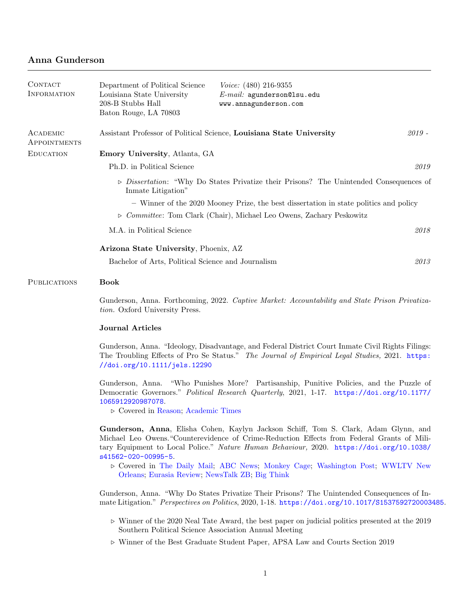# Anna Gunderson

| CONTACT<br><b>INFORMATION</b> | Department of Political Science<br><i>Voice:</i> $(480)$ 216-9355<br>Louisiana State University<br>$E$ -mail: agunderson@lsu.edu<br>208-B Stubbs Hall<br>www.annagunderson.com<br>Baton Rouge, LA 70803                                                                                                                                                                                                                                                  |      |  |  |
|-------------------------------|----------------------------------------------------------------------------------------------------------------------------------------------------------------------------------------------------------------------------------------------------------------------------------------------------------------------------------------------------------------------------------------------------------------------------------------------------------|------|--|--|
| ACADEMIC<br>APPOINTMENTS      | Assistant Professor of Political Science, Louisiana State University<br>$2019 -$                                                                                                                                                                                                                                                                                                                                                                         |      |  |  |
| <b>EDUCATION</b>              | Emory University, Atlanta, GA                                                                                                                                                                                                                                                                                                                                                                                                                            |      |  |  |
|                               | Ph.D. in Political Science                                                                                                                                                                                                                                                                                                                                                                                                                               | 2019 |  |  |
|                               | $\triangleright$ Dissertation: "Why Do States Privatize their Prisons? The Unintended Consequences of<br>Inmate Litigation"                                                                                                                                                                                                                                                                                                                              |      |  |  |
|                               | - Winner of the 2020 Mooney Prize, the best dissertation in state politics and policy                                                                                                                                                                                                                                                                                                                                                                    |      |  |  |
|                               | $\triangleright$ Committee: Tom Clark (Chair), Michael Leo Owens, Zachary Peskowitz                                                                                                                                                                                                                                                                                                                                                                      |      |  |  |
|                               | M.A. in Political Science                                                                                                                                                                                                                                                                                                                                                                                                                                | 2018 |  |  |
|                               | Arizona State University, Phoenix, AZ                                                                                                                                                                                                                                                                                                                                                                                                                    |      |  |  |
|                               | Bachelor of Arts, Political Science and Journalism                                                                                                                                                                                                                                                                                                                                                                                                       | 2013 |  |  |
| <b>PUBLICATIONS</b>           | <b>Book</b>                                                                                                                                                                                                                                                                                                                                                                                                                                              |      |  |  |
|                               | Gunderson, Anna. Forthcoming, 2022. Captive Market: Accountability and State Prison Privatiza-<br>tion. Oxford University Press.                                                                                                                                                                                                                                                                                                                         |      |  |  |
|                               | <b>Journal Articles</b>                                                                                                                                                                                                                                                                                                                                                                                                                                  |      |  |  |
|                               | Gunderson, Anna. "Ideology, Disadvantage, and Federal District Court Inmate Civil Rights Filings:<br>The Troubling Effects of Pro Se Status." The Journal of Empirical Legal Studies, 2021. https:<br>//doi.org/10.1111/jels.12290                                                                                                                                                                                                                       |      |  |  |
|                               | Gunderson, Anna. "Who Punishes More? Partisanship, Punitive Policies, and the Puzzle of<br>Democratic Governors." Political Research Quarterly, 2021, 1-17. https://doi.org/10.1177/<br>1065912920987078.<br>$\triangleright$ Covered in Reason; Academic Times                                                                                                                                                                                          |      |  |  |
|                               | Gunderson, Anna, Elisha Cohen, Kaylyn Jackson Schiff, Tom S. Clark, Adam Glynn, and<br>Michael Leo Owens. "Counterevidence of Crime-Reduction Effects from Federal Grants of Mili-<br>tary Equipment to Local Police." Nature Human Behaviour, 2020. https://doi.org/10.1038/<br>s41562-020-00995-5.<br>$\triangleright$ Covered in The Daily Mail; ABC News; Monkey Cage; Washington Post; WWLTV New<br>Orleans; Eurasia Review; NewsTalk ZB; Big Think |      |  |  |
|                               | Gunderson, Anna. "Why Do States Privatize Their Prisons? The Unintended Consequences of In-<br>mate Litigation." Perspectives on Politics, 2020, 1-18. https://doi.org/10.1017/S1537592720003485.                                                                                                                                                                                                                                                        |      |  |  |

- $\triangleright$  Winner of the 2020 Neal Tate Award, the best paper on judicial politics presented at the 2019 Southern Political Science Association Annual Meeting
- $\triangleright$  Winner of the Best Graduate Student Paper, APSA Law and Courts Section 2019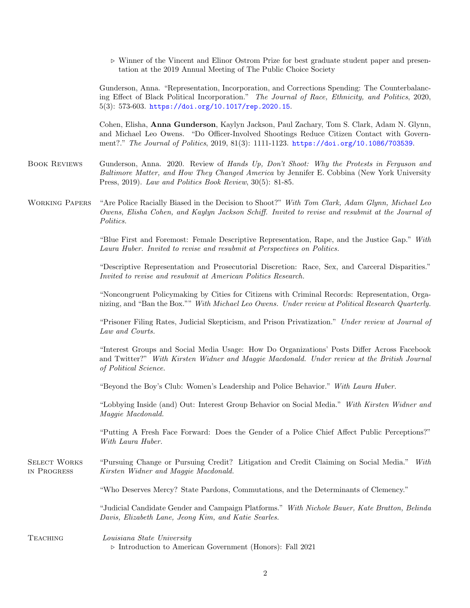|                                    | $\triangleright$ Winner of the Vincent and Elinor Ostrom Prize for best graduate student paper and presen-<br>tation at the 2019 Annual Meeting of The Public Choice Society                                                                                                       |
|------------------------------------|------------------------------------------------------------------------------------------------------------------------------------------------------------------------------------------------------------------------------------------------------------------------------------|
|                                    | Gunderson, Anna. "Representation, Incorporation, and Corrections Spending: The Counterbalanc-<br>ing Effect of Black Political Incorporation." The Journal of Race, Ethnicity, and Politics, 2020,<br>$5(3)$ : 573-603. https://doi.org/10.1017/rep.2020.15.                       |
|                                    | Cohen, Elisha, Anna Gunderson, Kaylyn Jackson, Paul Zachary, Tom S. Clark, Adam N. Glynn,<br>and Michael Leo Owens. "Do Officer-Involved Shootings Reduce Citizen Contact with Govern-<br>ment?." The Journal of Politics, 2019, 81(3): 1111-1123. https://doi.org/10.1086/703539. |
| <b>BOOK REVIEWS</b>                | Gunderson, Anna. 2020. Review of <i>Hands Up, Don't Shoot: Why the Protests in Ferguson and</i><br>Baltimore Matter, and How They Changed America by Jennifer E. Cobbina (New York University<br>Press, 2019). Law and Politics Book Review, 30(5): 81-85.                         |
| <b>WORKING PAPERS</b>              | "Are Police Racially Biased in the Decision to Shoot?" With Tom Clark, Adam Glynn, Michael Leo<br>Owens, Elisha Cohen, and Kaylyn Jackson Schiff. Invited to revise and resubmit at the Journal of<br>Politics.                                                                    |
|                                    | "Blue First and Foremost: Female Descriptive Representation, Rape, and the Justice Gap." With<br>Laura Huber. Invited to revise and resubmit at Perspectives on Politics.                                                                                                          |
|                                    | "Descriptive Representation and Prosecutorial Discretion: Race, Sex, and Carceral Disparities."<br>Invited to revise and resubmit at American Politics Research.                                                                                                                   |
|                                    | "Noncongruent Policymaking by Cities for Citizens with Criminal Records: Representation, Orga-<br>nizing, and "Ban the Box."" With Michael Leo Owens. Under review at Political Research Quarterly.                                                                                |
|                                    | "Prisoner Filing Rates, Judicial Skepticism, and Prison Privatization." Under review at Journal of<br>Law and Courts.                                                                                                                                                              |
|                                    | "Interest Groups and Social Media Usage: How Do Organizations' Posts Differ Across Facebook<br>and Twitter?" With Kirsten Widner and Maggie Macdonald. Under review at the British Journal<br>of Political Science.                                                                |
|                                    | "Beyond the Boy's Club: Women's Leadership and Police Behavior." With Laura Huber.                                                                                                                                                                                                 |
|                                    | "Lobbying Inside (and) Out: Interest Group Behavior on Social Media." With Kirsten Widner and<br>Maggie Macdonald.                                                                                                                                                                 |
|                                    | "Putting A Fresh Face Forward: Does the Gender of a Police Chief Affect Public Perceptions?"<br>With Laura Huber.                                                                                                                                                                  |
| <b>SELECT WORKS</b><br>IN PROGRESS | "Pursuing Change or Pursuing Credit? Litigation and Credit Claiming on Social Media."<br>With<br>Kirsten Widner and Maggie Macdonald.                                                                                                                                              |
|                                    | "Who Deserves Mercy? State Pardons, Commutations, and the Determinants of Clemency."                                                                                                                                                                                               |
|                                    | "Judicial Candidate Gender and Campaign Platforms." With Nichole Bauer, Kate Bratton, Belinda<br>Davis, Elizabeth Lane, Jeong Kim, and Katie Searles.                                                                                                                              |
| <b>TEACHING</b>                    | Louisiana State University<br>$\triangleright$ Introduction to American Government (Honors): Fall 2021                                                                                                                                                                             |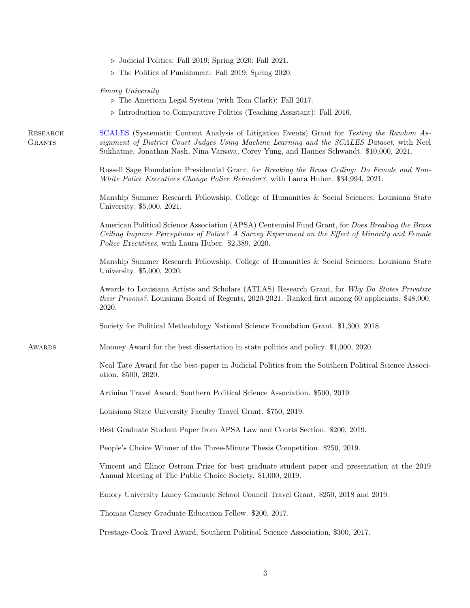$\triangleright$  The Politics of Punishment: Fall 2019; Spring 2020.

|  | <i>Emory University</i> |
|--|-------------------------|
|--|-------------------------|

|  |  | $\triangleright$ The American Legal System (with Tom Clark): Fall 2017. |  |  |  |
|--|--|-------------------------------------------------------------------------|--|--|--|
|--|--|-------------------------------------------------------------------------|--|--|--|

. Introduction to Comparative Politics (Teaching Assistant): Fall 2016.

**RESEARCH GRANTS** [SCALES](https://scales-okn.org/) (Systematic Content Analysis of Litigation Events) Grant for Testing the Random Assignment of District Court Judges Using Machine Learning and the SCALES Dataset, with Neel Sukhatme, Jonathan Nash, Nina Varsava, Corey Yung, and Hannes Schwandt. \$10,000, 2021.

> Russell Sage Foundation Presidential Grant, for Breaking the Brass Ceiling: Do Female and Non-White Police Executives Change Police Behavior?, with Laura Huber. \$34,994, 2021.

> Manship Summer Research Fellowship, College of Humanities & Social Sciences, Louisiana State University. \$5,000, 2021.

> American Political Science Association (APSA) Centennial Fund Grant, for Does Breaking the Brass Ceiling Improve Perceptions of Police? A Survey Experiment on the Effect of Minority and Female Police Executives, with Laura Huber. \$2,389, 2020.

> Manship Summer Research Fellowship, College of Humanities & Social Sciences, Louisiana State University. \$5,000, 2020.

> Awards to Louisiana Artists and Scholars (ATLAS) Research Grant, for Why Do States Privatize their Prisons?, Louisiana Board of Regents, 2020-2021. Ranked first among 60 applicants. \$48,000, 2020.

Society for Political Methodology National Science Foundation Grant. \$1,300, 2018.

**AWARDS** Mooney Award for the best dissertation in state politics and policy. \$1,000, 2020.

> Neal Tate Award for the best paper in Judicial Politics from the Southern Political Science Association. \$500, 2020.

Artinian Travel Award, Southern Political Science Association. \$500, 2019.

Louisiana State University Faculty Travel Grant. \$750, 2019.

Best Graduate Student Paper from APSA Law and Courts Section. \$200, 2019.

People's Choice Winner of the Three-Minute Thesis Competition. \$250, 2019.

Vincent and Elinor Ostrom Prize for best graduate student paper and presentation at the 2019 Annual Meeting of The Public Choice Society. \$1,000, 2019.

Emory University Laney Graduate School Council Travel Grant. \$250, 2018 and 2019.

Thomas Carsey Graduate Education Fellow. \$200, 2017.

Prestage-Cook Travel Award, Southern Political Science Association, \$300, 2017.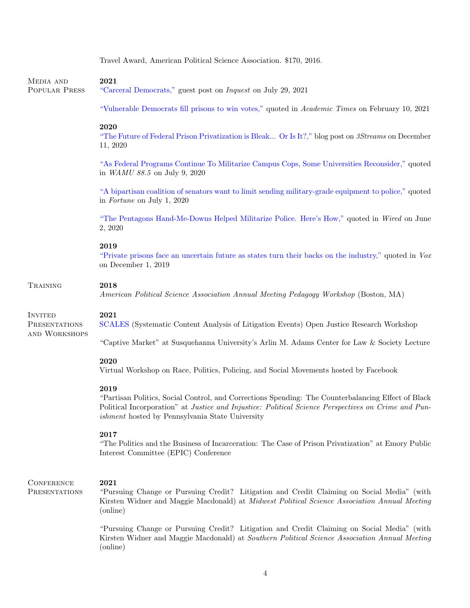|                                    | Travel Award, American Political Science Association. \$170, 2016.                                                                                                                                                                                                          |
|------------------------------------|-----------------------------------------------------------------------------------------------------------------------------------------------------------------------------------------------------------------------------------------------------------------------------|
| MEDIA AND<br>POPULAR PRESS         | 2021<br>"Carceral Democrats," guest post on <i>Inquest</i> on July 29, 2021                                                                                                                                                                                                 |
|                                    | "Vulnerable Democrats fill prisons to win votes," quoted in Academic Times on February 10, 2021                                                                                                                                                                             |
|                                    | 2020<br>"The Future of Federal Prison Privatization is Bleak Or Is It?," blog post on 3Streams on December<br>11, 2020                                                                                                                                                      |
|                                    | "As Federal Programs Continue To Militarize Campus Cops, Some Universities Reconsider," quoted<br>in WAMU 88.5 on July 9, 2020                                                                                                                                              |
|                                    | "A bipartisan coalition of senators want to limit sending military-grade equipment to police," quoted<br>in Fortune on July 1, 2020                                                                                                                                         |
|                                    | "The Pentagons Hand-Me-Downs Helped Militarize Police. Here's How," quoted in Wired on June<br>2, 2020                                                                                                                                                                      |
|                                    | 2019<br>"Private prisons face an uncertain future as states turn their backs on the industry," quoted in Vox<br>on December 1, 2019                                                                                                                                         |
| TRAINING                           | 2018<br>American Political Science Association Annual Meeting Pedagogy Workshop (Boston, MA)                                                                                                                                                                                |
| <b>INVITED</b><br>PRESENTATIONS    | 2021<br>SCALES (Systematic Content Analysis of Litigation Events) Open Justice Research Workshop                                                                                                                                                                            |
| AND WORKSHOPS                      | "Captive Market" at Susquehanna University's Arlin M. Adams Center for Law & Society Lecture                                                                                                                                                                                |
|                                    | 2020<br>Virtual Workshop on Race, Politics, Policing, and Social Movements hosted by Facebook                                                                                                                                                                               |
|                                    | 2019<br>"Partisan Politics, Social Control, and Corrections Spending: The Counterbalancing Effect of Black<br>Political Incorporation" at Justice and Injustice: Political Science Perspectives on Crime and Pun-<br><i>ishment</i> hosted by Pennsylvania State University |
|                                    | 2017<br>"The Politics and the Business of Incarceration: The Case of Prison Privatization" at Emory Public<br>Interest Committee (EPIC) Conference                                                                                                                          |
| <b>CONFERENCE</b><br>PRESENTATIONS | 2021<br>"Pursuing Change or Pursuing Credit? Litigation and Credit Claiming on Social Media" (with<br>Kirsten Widner and Maggie Macdonald) at <i>Midwest Political Science Association Annual Meeting</i><br>(online)                                                       |
|                                    | "Pursuing Change or Pursuing Credit? Litigation and Credit Claiming on Social Media" (with<br>Kirsten Widner and Maggie Macdonald) at Southern Political Science Association Annual Meeting<br>(online)                                                                     |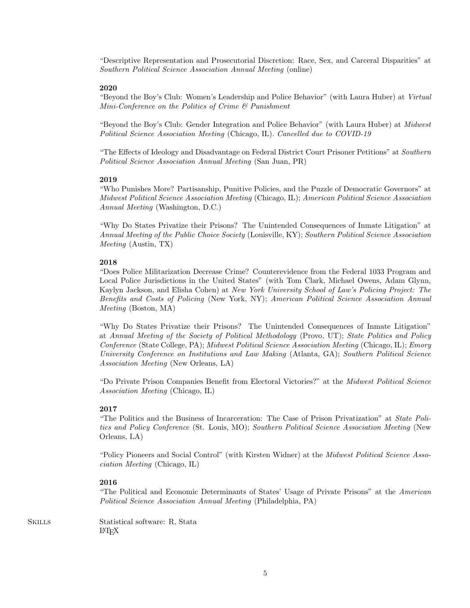"Descriptive Representation and Prosecutorial Discretion: Race, Sex, and Carceral Disparities" at Southern Political Science Association Annual Meeting (online)

## 2020

"Beyond the Boy's Club: Women's Leadership and Police Behavior" (with Laura Huber) at Virtual Mini-Conference on the Politics of Crime & Punishment

"Beyond the Boy's Club: Gender Integration and Police Behavior" (with Laura Huber) at Midwest Political Science Association Meeting (Chicago, IL). Cancelled due to COVID-19

"The Effects of Ideology and Disadvantage on Federal District Court Prisoner Petitions" at Southern Political Science Association Annual Meeting (San Juan, PR)

## 2019

"Who Punishes More? Partisanship, Punitive Policies, and the Puzzle of Democratic Governors" at Midwest Political Science Association Meeting (Chicago, IL); American Political Science Association Annual Meeting (Washington, D.C.)

"Why Do States Privatize their Prisons? The Unintended Consequences of Inmate Litigation" at Annual Meeting of the Public Choice Society (Louisville, KY); Southern Political Science Association Meeting (Austin, TX)

#### 2018

"Does Police Militarization Decrease Crime? Counterevidence from the Federal 1033 Program and Local Police Jurisdictions in the United States" (with Tom Clark, Michael Owens, Adam Glynn, Kaylyn Jackson, and Elisha Cohen) at New York University School of Law's Policing Project: The Benefits and Costs of Policing (New York, NY); American Political Science Association Annual Meeting (Boston, MA)

"Why Do States Privatize their Prisons? The Unintended Consequences of Inmate Litigation" at Annual Meeting of the Society of Political Methodology (Provo, UT); State Politics and Policy Conference (State College, PA); Midwest Political Science Association Meeting (Chicago, IL); Emory University Conference on Institutions and Law Making (Atlanta, GA); Southern Political Science Association Meeting (New Orleans, LA)

"Do Private Prison Companies Benefit from Electoral Victories?" at the Midwest Political Science Association Meeting (Chicago, IL)

# 2017

"The Politics and the Business of Incarceration: The Case of Prison Privatization" at State Politics and Policy Conference (St. Louis, MO); Southern Political Science Association Meeting (New Orleans, LA)

"Policy Pioneers and Social Control" (with Kirsten Widner) at the Midwest Political Science Association Meeting (Chicago, IL)

#### 2016

"The Political and Economic Determinants of States' Usage of Private Prisons" at the American Political Science Association Annual Meeting (Philadelphia, PA)

SKILLS Statistical software: R, Stata LATEX